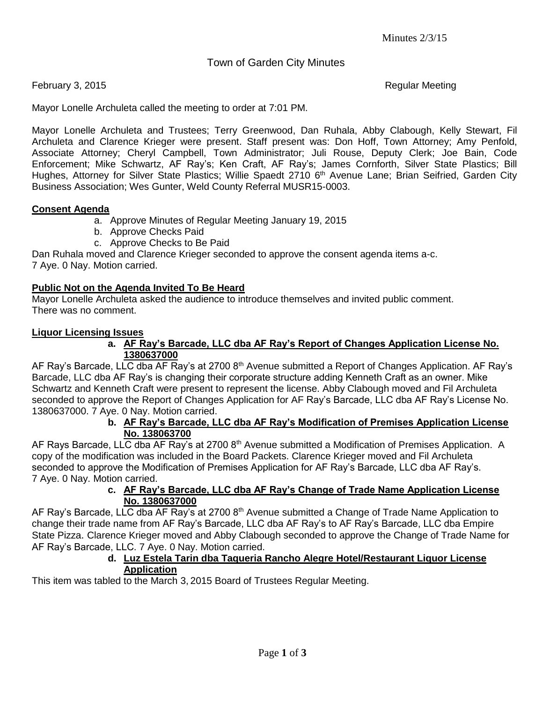Town of Garden City Minutes

February 3, 2015 **Regular Meeting** 

Mayor Lonelle Archuleta called the meeting to order at 7:01 PM.

Mayor Lonelle Archuleta and Trustees; Terry Greenwood, Dan Ruhala, Abby Clabough, Kelly Stewart, Fil Archuleta and Clarence Krieger were present. Staff present was: Don Hoff, Town Attorney; Amy Penfold, Associate Attorney; Cheryl Campbell, Town Administrator; Juli Rouse, Deputy Clerk; Joe Bain, Code Enforcement; Mike Schwartz, AF Ray's; Ken Craft, AF Ray's; James Cornforth, Silver State Plastics; Bill Hughes, Attorney for Silver State Plastics; Willie Spaedt 2710 6<sup>th</sup> Avenue Lane; Brian Seifried, Garden City Business Association; Wes Gunter, Weld County Referral MUSR15-0003.

## **Consent Agenda**

- a. Approve Minutes of Regular Meeting January 19, 2015
- b. Approve Checks Paid
- c. Approve Checks to Be Paid

Dan Ruhala moved and Clarence Krieger seconded to approve the consent agenda items a-c. 7 Aye. 0 Nay. Motion carried.

## **Public Not on the Agenda Invited To Be Heard**

Mayor Lonelle Archuleta asked the audience to introduce themselves and invited public comment. There was no comment.

### **Liquor Licensing Issues**

### **a. AF Ray's Barcade, LLC dba AF Ray's Report of Changes Application License No. 1380637000**

AF Ray's Barcade, LLC dba AF Ray's at 2700 8<sup>th</sup> Avenue submitted a Report of Changes Application. AF Ray's Barcade, LLC dba AF Ray's is changing their corporate structure adding Kenneth Craft as an owner. Mike Schwartz and Kenneth Craft were present to represent the license. Abby Clabough moved and Fil Archuleta seconded to approve the Report of Changes Application for AF Ray's Barcade, LLC dba AF Ray's License No. 1380637000. 7 Aye. 0 Nay. Motion carried.

## **b. AF Ray's Barcade, LLC dba AF Ray's Modification of Premises Application License No. 138063700**

AF Rays Barcade, LLC dba AF Ray's at 2700 8<sup>th</sup> Avenue submitted a Modification of Premises Application. A copy of the modification was included in the Board Packets. Clarence Krieger moved and Fil Archuleta seconded to approve the Modification of Premises Application for AF Ray's Barcade, LLC dba AF Ray's. 7 Aye. 0 Nay. Motion carried.

### **c. AF Ray's Barcade, LLC dba AF Ray's Change of Trade Name Application License No. 1380637000**

AF Ray's Barcade, LLC dba AF Ray's at 2700 8<sup>th</sup> Avenue submitted a Change of Trade Name Application to change their trade name from AF Ray's Barcade, LLC dba AF Ray's to AF Ray's Barcade, LLC dba Empire State Pizza. Clarence Krieger moved and Abby Clabough seconded to approve the Change of Trade Name for AF Ray's Barcade, LLC. 7 Aye. 0 Nay. Motion carried.

### **d. Luz Estela Tarin dba Taqueria Rancho Alegre Hotel/Restaurant Liquor License Application**

This item was tabled to the March 3, 2015 Board of Trustees Regular Meeting.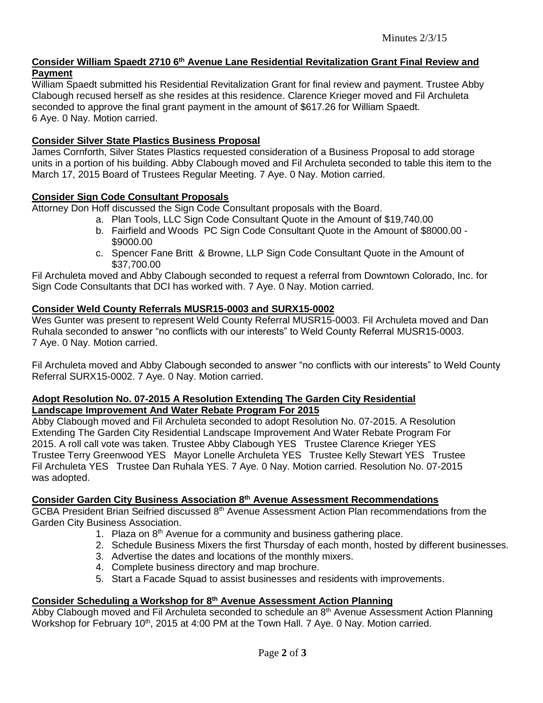# **Consider William Spaedt 2710 6th Avenue Lane Residential Revitalization Grant Final Review and Payment**

William Spaedt submitted his Residential Revitalization Grant for final review and payment. Trustee Abby Clabough recused herself as she resides at this residence. Clarence Krieger moved and Fil Archuleta seconded to approve the final grant payment in the amount of \$617.26 for William Spaedt. 6 Aye. 0 Nay. Motion carried.

### **Consider Silver State Plastics Business Proposal**

James Cornforth, Silver States Plastics requested consideration of a Business Proposal to add storage units in a portion of his building. Abby Clabough moved and Fil Archuleta seconded to table this item to the March 17, 2015 Board of Trustees Regular Meeting. 7 Aye. 0 Nay. Motion carried.

### **Consider Sign Code Consultant Proposals**

Attorney Don Hoff discussed the Sign Code Consultant proposals with the Board.

- a. Plan Tools, LLC Sign Code Consultant Quote in the Amount of \$19,740.00
- b. Fairfield and Woods PC Sign Code Consultant Quote in the Amount of \$8000.00 \$9000.00
- c. Spencer Fane Britt & Browne, LLP Sign Code Consultant Quote in the Amount of \$37,700.00

Fil Archuleta moved and Abby Clabough seconded to request a referral from Downtown Colorado, Inc. for Sign Code Consultants that DCI has worked with. 7 Aye. 0 Nay. Motion carried.

## **Consider Weld County Referrals MUSR15-0003 and SURX15-0002**

Wes Gunter was present to represent Weld County Referral MUSR15-0003. Fil Archuleta moved and Dan Ruhala seconded to answer "no conflicts with our interests" to Weld County Referral MUSR15-0003. 7 Aye. 0 Nay. Motion carried.

Fil Archuleta moved and Abby Clabough seconded to answer "no conflicts with our interests" to Weld County Referral SURX15-0002. 7 Aye. 0 Nay. Motion carried.

### **Adopt Resolution No. 07-2015 A Resolution Extending The Garden City Residential Landscape Improvement And Water Rebate Program For 2015**

Abby Clabough moved and Fil Archuleta seconded to adopt Resolution No. 07-2015. A Resolution Extending The Garden City Residential Landscape Improvement And Water Rebate Program For 2015. A roll call vote was taken. Trustee Abby Clabough YES Trustee Clarence Krieger YES Trustee Terry Greenwood YES Mayor Lonelle Archuleta YES Trustee Kelly Stewart YES Trustee Fil Archuleta YES Trustee Dan Ruhala YES. 7 Aye. 0 Nay. Motion carried. Resolution No. 07-2015 was adopted.

# **Consider Garden City Business Association 8 th Avenue Assessment Recommendations**

GCBA President Brian Seifried discussed 8<sup>th</sup> Avenue Assessment Action Plan recommendations from the Garden City Business Association.

- 1. Plaza on 8<sup>th</sup> Avenue for a community and business gathering place.
- 2. Schedule Business Mixers the first Thursday of each month, hosted by different businesses.
- 3. Advertise the dates and locations of the monthly mixers.
- 4. Complete business directory and map brochure.
- 5. Start a Facade Squad to assist businesses and residents with improvements.

# **Consider Scheduling a Workshop for 8th Avenue Assessment Action Planning**

Abby Clabough moved and Fil Archuleta seconded to schedule an  $8<sup>th</sup>$  Avenue Assessment Action Planning Workshop for February 10<sup>th</sup>, 2015 at 4:00 PM at the Town Hall. 7 Aye. 0 Nay. Motion carried.